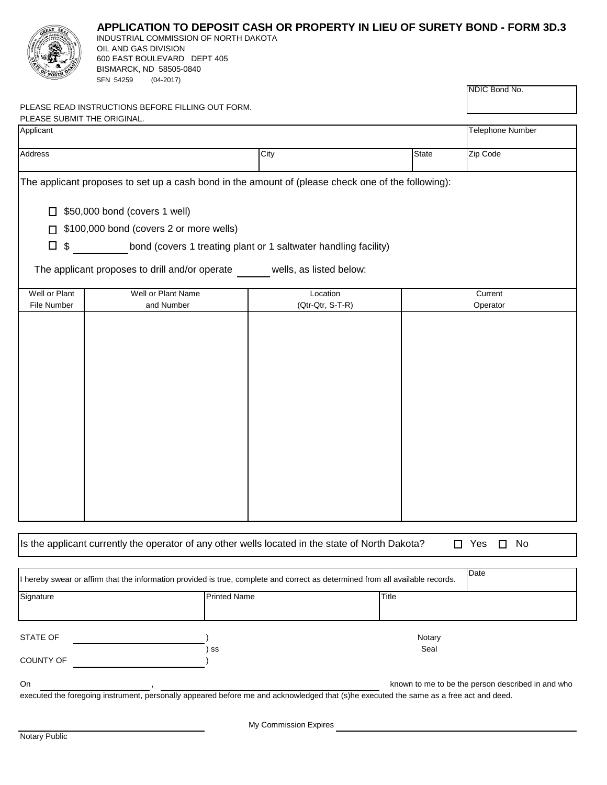|                                     | APPLICATION TO DEPOSIT CASH OR PROPERTY IN LIEU OF SURETY BOND - FORM 3D.3<br>INDUSTRIAL COMMISSION OF NORTH DAKOTA<br>OIL AND GAS DIVISION<br>600 EAST BOULEVARD DEPT 405<br>BISMARCK, ND 58505-0840<br>SFN 54259<br>$(04 - 2017)$ |                     |                                                                 |       |                |                                                   |  |
|-------------------------------------|-------------------------------------------------------------------------------------------------------------------------------------------------------------------------------------------------------------------------------------|---------------------|-----------------------------------------------------------------|-------|----------------|---------------------------------------------------|--|
| PLEASE SUBMIT THE ORIGINAL.         | PLEASE READ INSTRUCTIONS BEFORE FILLING OUT FORM.                                                                                                                                                                                   |                     |                                                                 |       |                | NDIC Bond No.                                     |  |
| Applicant                           |                                                                                                                                                                                                                                     |                     |                                                                 |       |                | <b>Telephone Number</b>                           |  |
| Address                             |                                                                                                                                                                                                                                     |                     | City                                                            |       | <b>State</b>   | Zip Code                                          |  |
|                                     | The applicant proposes to set up a cash bond in the amount of (please check one of the following):                                                                                                                                  |                     |                                                                 |       |                |                                                   |  |
| $\perp$<br>П<br>□<br>\$             | \$50,000 bond (covers 1 well)<br>\$100,000 bond (covers 2 or more wells)                                                                                                                                                            |                     | bond (covers 1 treating plant or 1 saltwater handling facility) |       |                |                                                   |  |
|                                     | The applicant proposes to drill and/or operate                                                                                                                                                                                      |                     | wells, as listed below:                                         |       |                |                                                   |  |
| Well or Plant<br><b>File Number</b> | Well or Plant Name<br>and Number                                                                                                                                                                                                    |                     | Location<br>(Qtr-Qtr, S-T-R)                                    |       |                | Current<br>Operator                               |  |
|                                     |                                                                                                                                                                                                                                     |                     |                                                                 |       |                |                                                   |  |
|                                     | Is the applicant currently the operator of any other wells located in the state of North Dakota?                                                                                                                                    |                     |                                                                 |       |                | No<br>$\Box$ Yes<br>П                             |  |
|                                     | I hereby swear or affirm that the information provided is true, complete and correct as determined from all available records.                                                                                                      |                     |                                                                 |       |                | Date                                              |  |
| Signature                           |                                                                                                                                                                                                                                     | <b>Printed Name</b> |                                                                 | Title |                |                                                   |  |
| <b>STATE OF</b><br>COUNTY OF        |                                                                                                                                                                                                                                     | SS                  |                                                                 |       | Notary<br>Seal |                                                   |  |
| On                                  | executed the foregoing instrument, personally appeared before me and acknowledged that (s)he executed the same as a free act and deed.                                                                                              |                     |                                                                 |       |                | known to me to be the person described in and who |  |
|                                     |                                                                                                                                                                                                                                     |                     | My Commission Expires                                           |       |                |                                                   |  |